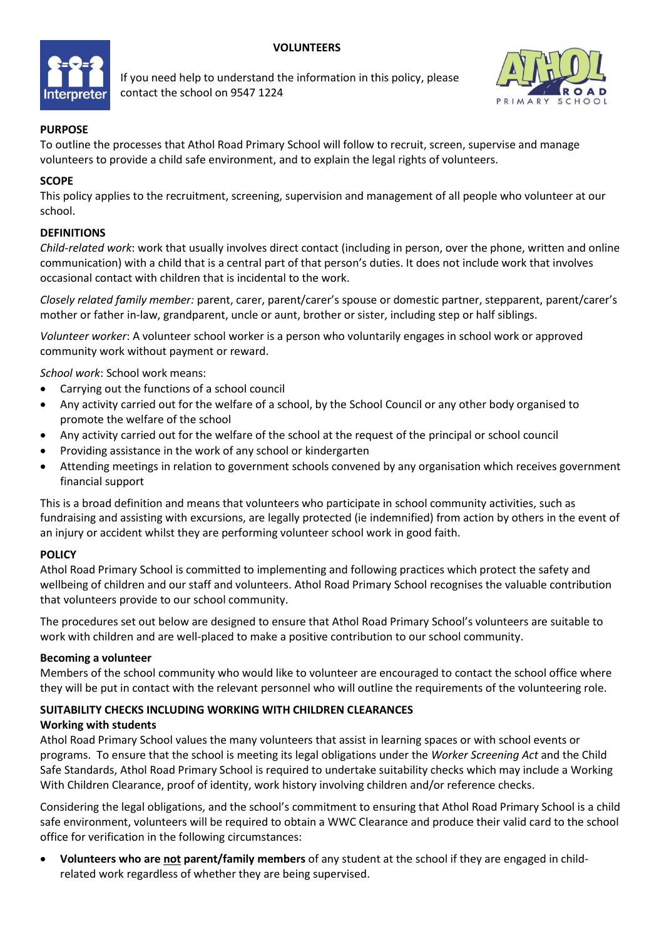# **VOLUNTEERS**



If you need help to understand the information in this policy, please contact the school on 9547 1224



# **PURPOSE**

To outline the processes that Athol Road Primary School will follow to recruit, screen, supervise and manage volunteers to provide a child safe environment, and to explain the legal rights of volunteers.

## **SCOPE**

This policy applies to the recruitment, screening, supervision and management of all people who volunteer at our school.

# **DEFINITIONS**

*Child-related work*: work that usually involves direct contact (including in person, over the phone, written and online communication) with a child that is a central part of that person's duties. It does not include work that involves occasional contact with children that is incidental to the work.

*Closely related family member:* parent, carer, parent/carer's spouse or domestic partner, stepparent, parent/carer's mother or father in-law, grandparent, uncle or aunt, brother or sister, including step or half siblings.

*Volunteer worker*: A volunteer school worker is a person who voluntarily engages in school work or approved community work without payment or reward.

*School work*: School work means:

- Carrying out the functions of a school council
- Any activity carried out for the welfare of a school, by the School Council or any other body organised to promote the welfare of the school
- Any activity carried out for the welfare of the school at the request of the principal or school council
- Providing assistance in the work of any school or kindergarten
- Attending meetings in relation to government schools convened by any organisation which receives government financial support

This is a broad definition and means that volunteers who participate in school community activities, such as fundraising and assisting with excursions, are legally protected (ie indemnified) from action by others in the event of an injury or accident whilst they are performing volunteer school work in good faith.

## **POLICY**

Athol Road Primary School is committed to implementing and following practices which protect the safety and wellbeing of children and our staff and volunteers. Athol Road Primary School recognises the valuable contribution that volunteers provide to our school community.

The procedures set out below are designed to ensure that Athol Road Primary School's volunteers are suitable to work with children and are well-placed to make a positive contribution to our school community.

## **Becoming a volunteer**

Members of the school community who would like to volunteer are encouraged to contact the school office where they will be put in contact with the relevant personnel who will outline the requirements of the volunteering role.

## **SUITABILITY CHECKS INCLUDING WORKING WITH CHILDREN CLEARANCES**

## **Working with students**

Athol Road Primary School values the many volunteers that assist in learning spaces or with school events or programs. To ensure that the school is meeting its legal obligations under the *Worker Screening Act* and the Child Safe Standards, Athol Road Primary School is required to undertake suitability checks which may include a Working With Children Clearance, proof of identity, work history involving children and/or reference checks.

Considering the legal obligations, and the school's commitment to ensuring that Athol Road Primary School is a child safe environment, volunteers will be required to obtain a WWC Clearance and produce their valid card to the school office for verification in the following circumstances:

• **Volunteers who are not parent/family members** of any student at the school if they are engaged in childrelated work regardless of whether they are being supervised.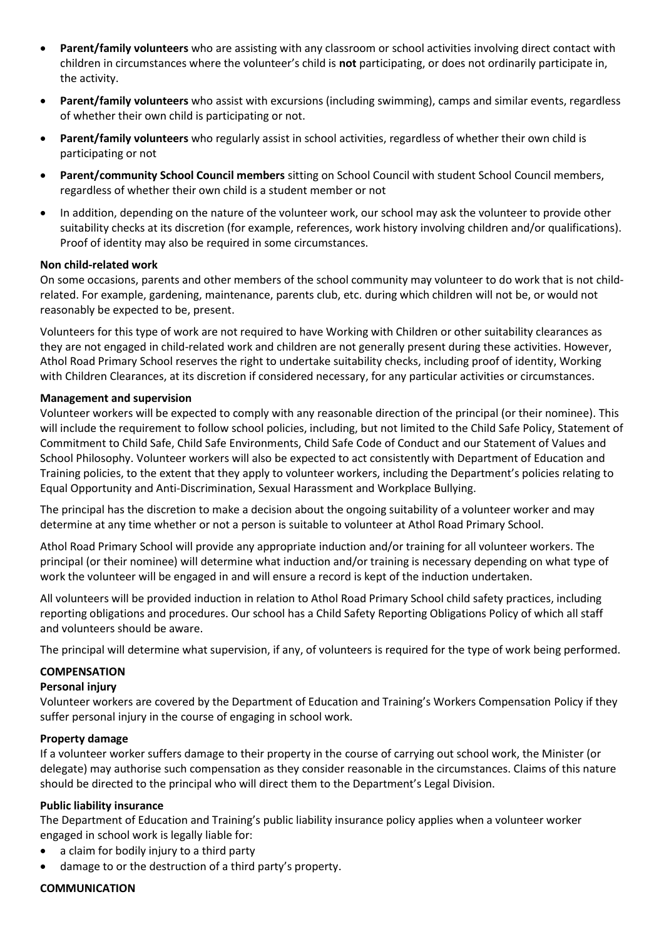- **Parent/family volunteers** who are assisting with any classroom or school activities involving direct contact with children in circumstances where the volunteer's child is **not** participating, or does not ordinarily participate in, the activity.
- **Parent/family volunteers** who assist with excursions (including swimming), camps and similar events, regardless of whether their own child is participating or not.
- **Parent/family volunteers** who regularly assist in school activities, regardless of whether their own child is participating or not
- **Parent/community School Council members** sitting on School Council with student School Council members, regardless of whether their own child is a student member or not
- In addition, depending on the nature of the volunteer work, our school may ask the volunteer to provide other suitability checks at its discretion (for example, references, work history involving children and/or qualifications). Proof of identity may also be required in some circumstances.

## **Non child-related work**

On some occasions, parents and other members of the school community may volunteer to do work that is not childrelated. For example, gardening, maintenance, parents club, etc. during which children will not be, or would not reasonably be expected to be, present.

Volunteers for this type of work are not required to have Working with Children or other suitability clearances as they are not engaged in child-related work and children are not generally present during these activities. However, Athol Road Primary School reserves the right to undertake suitability checks, including proof of identity, Working with Children Clearances, at its discretion if considered necessary, for any particular activities or circumstances.

### **Management and supervision**

Volunteer workers will be expected to comply with any reasonable direction of the principal (or their nominee). This will include the requirement to follow school policies, including, but not limited to the Child Safe Policy, Statement of Commitment to Child Safe, Child Safe Environments, Child Safe Code of Conduct and our Statement of Values and School Philosophy. Volunteer workers will also be expected to act consistently with Department of Education and Training policies, to the extent that they apply to volunteer workers, including the Department's policies relating to Equal Opportunity and Anti-Discrimination, Sexual Harassment and Workplace Bullying.

The principal has the discretion to make a decision about the ongoing suitability of a volunteer worker and may determine at any time whether or not a person is suitable to volunteer at Athol Road Primary School.

Athol Road Primary School will provide any appropriate induction and/or training for all volunteer workers. The principal (or their nominee) will determine what induction and/or training is necessary depending on what type of work the volunteer will be engaged in and will ensure a record is kept of the induction undertaken.

All volunteers will be provided induction in relation to Athol Road Primary School child safety practices, including reporting obligations and procedures. Our school has a Child Safety Reporting Obligations Policy of which all staff and volunteers should be aware.

The principal will determine what supervision, if any, of volunteers is required for the type of work being performed.

#### **COMPENSATION**

#### **Personal injury**

Volunteer workers are covered by the Department of Education and Training's Workers Compensation Policy if they suffer personal injury in the course of engaging in school work.

### **Property damage**

If a volunteer worker suffers damage to their property in the course of carrying out school work, the Minister (or delegate) may authorise such compensation as they consider reasonable in the circumstances. Claims of this nature should be directed to the principal who will direct them to the Department's Legal Division.

### **Public liability insurance**

The Department of Education and Training's public liability insurance policy applies when a volunteer worker engaged in school work is legally liable for:

- a claim for bodily injury to a third party
- damage to or the destruction of a third party's property.

## **COMMUNICATION**